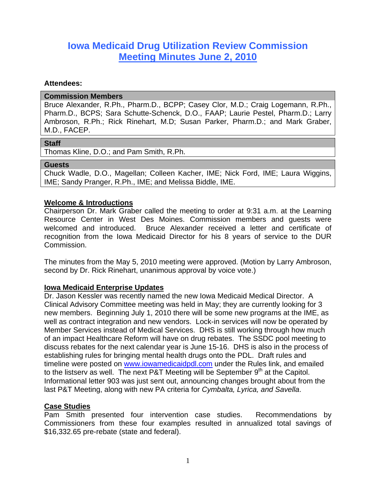# **Iowa Medicaid Drug Utilization Review Commission Meeting Minutes June 2, 2010**

#### **Attendees:**

#### **Commission Members**

Bruce Alexander, R.Ph., Pharm.D., BCPP; Casey Clor, M.D.; Craig Logemann, R.Ph., Pharm.D., BCPS; Sara Schutte-Schenck, D.O., FAAP; Laurie Pestel, Pharm.D.; Larry Ambroson, R.Ph.; Rick Rinehart, M.D; Susan Parker, Pharm.D.; and Mark Graber, M.D., FACEP.

#### **Staff**

Thomas Kline, D.O.; and Pam Smith, R.Ph.

#### **Guests**

Chuck Wadle, D.O., Magellan; Colleen Kacher, IME; Nick Ford, IME; Laura Wiggins, IME; Sandy Pranger, R.Ph., IME; and Melissa Biddle, IME.

## **Welcome & Introductions**

Chairperson Dr. Mark Graber called the meeting to order at 9:31 a.m. at the Learning Resource Center in West Des Moines. Commission members and guests were welcomed and introduced. Bruce Alexander received a letter and certificate of recognition from the Iowa Medicaid Director for his 8 years of service to the DUR Commission.

The minutes from the May 5, 2010 meeting were approved. (Motion by Larry Ambroson, second by Dr. Rick Rinehart, unanimous approval by voice vote.)

## **Iowa Medicaid Enterprise Updates**

Dr. Jason Kessler was recently named the new Iowa Medicaid Medical Director. A Clinical Advisory Committee meeting was held in May; they are currently looking for 3 new members. Beginning July 1, 2010 there will be some new programs at the IME, as well as contract integration and new vendors. Lock-in services will now be operated by Member Services instead of Medical Services. DHS is still working through how much of an impact Healthcare Reform will have on drug rebates. The SSDC pool meeting to discuss rebates for the next calendar year is June 15-16. DHS is also in the process of establishing rules for bringing mental health drugs onto the PDL. Draft rules and timeline were posted on www.iowamedicaidpdl.com under the Rules link, and emailed to the listserv as well. The next P&T Meeting will be September  $9<sup>th</sup>$  at the Capitol. Informational letter 903 was just sent out, announcing changes brought about from the last P&T Meeting, along with new PA criteria for *Cymbalta, Lyrica, and Savella*.

#### **Case Studies**

Pam Smith presented four intervention case studies. Recommendations by Commissioners from these four examples resulted in annualized total savings of \$16,332.65 pre-rebate (state and federal).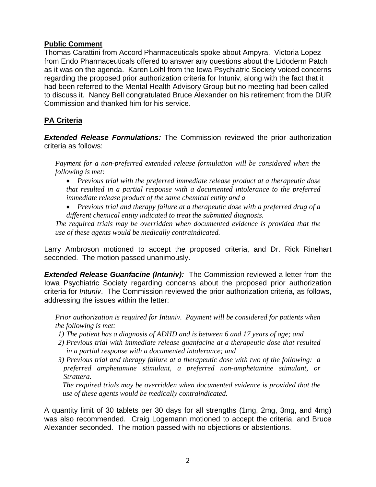## **Public Comment**

Thomas Carattini from Accord Pharmaceuticals spoke about Ampyra. Victoria Lopez from Endo Pharmaceuticals offered to answer any questions about the Lidoderm Patch as it was on the agenda. Karen Loihl from the Iowa Psychiatric Society voiced concerns regarding the proposed prior authorization criteria for Intuniv, along with the fact that it had been referred to the Mental Health Advisory Group but no meeting had been called to discuss it. Nancy Bell congratulated Bruce Alexander on his retirement from the DUR Commission and thanked him for his service.

## **PA Criteria**

*Extended Release Formulations:* The Commission reviewed the prior authorization criteria as follows:

*Payment for a non-preferred extended release formulation will be considered when the following is met:* 

 *Previous trial with the preferred immediate release product at a therapeutic dose that resulted in a partial response with a documented intolerance to the preferred immediate release product of the same chemical entity and a* 

 *Previous trial and therapy failure at a therapeutic dose with a preferred drug of a different chemical entity indicated to treat the submitted diagnosis.* 

*The required trials may be overridden when documented evidence is provided that the use of these agents would be medically contraindicated.*

Larry Ambroson motioned to accept the proposed criteria, and Dr. Rick Rinehart seconded. The motion passed unanimously.

**Extended Release Guanfacine (Intuniv):** The Commission reviewed a letter from the Iowa Psychiatric Society regarding concerns about the proposed prior authorization criteria for *Intuniv*. The Commission reviewed the prior authorization criteria, as follows, addressing the issues within the letter:

*Prior authorization is required for Intuniv. Payment will be considered for patients when the following is met:* 

- *1) The patient has a diagnosis of ADHD and is between 6 and 17 years of age; and*
- *2) Previous trial with immediate release guanfacine at a therapeutic dose that resulted in a partial response with a documented intolerance; and*
- *3) Previous trial and therapy failure at a therapeutic dose with two of the following: a preferred amphetamine stimulant, a preferred non-amphetamine stimulant, or Strattera.*

*The required trials may be overridden when documented evidence is provided that the use of these agents would be medically contraindicated.* 

A quantity limit of 30 tablets per 30 days for all strengths (1mg, 2mg, 3mg, and 4mg) was also recommended. Craig Logemann motioned to accept the criteria, and Bruce Alexander seconded. The motion passed with no objections or abstentions.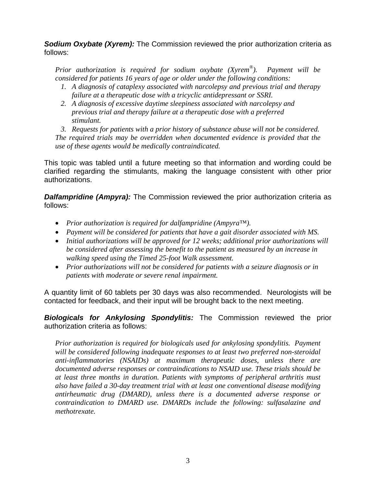**Sodium Oxybate (Xyrem):** The Commission reviewed the prior authorization criteria as follows:

*Prior authorization is required for sodium oxybate (Xyrem®). Payment will be considered for patients 16 years of age or older under the following conditions:* 

- *1. A diagnosis of cataplexy associated with narcolepsy and previous trial and therapy failure at a therapeutic dose with a tricyclic antidepressant or SSRI.*
- *2. A diagnosis of excessive daytime sleepiness associated with narcolepsy and previous trial and therapy failure at a therapeutic dose with a preferred stimulant.*
- *3. Requests for patients with a prior history of substance abuse will not be considered.*

*The required trials may be overridden when documented evidence is provided that the use of these agents would be medically contraindicated.* 

This topic was tabled until a future meeting so that information and wording could be clarified regarding the stimulants, making the language consistent with other prior authorizations.

**Dalfampridine (Ampyra):** The Commission reviewed the prior authorization criteria as follows:

- *Prior authorization is required for dalfampridine (Ampyra™).*
- *Payment will be considered for patients that have a gait disorder associated with MS.*
- *Initial authorizations will be approved for 12 weeks; additional prior authorizations will be considered after assessing the benefit to the patient as measured by an increase in walking speed using the Timed 25-foot Walk assessment.*
- *Prior authorizations will not be considered for patients with a seizure diagnosis or in patients with moderate or severe renal impairment.*

A quantity limit of 60 tablets per 30 days was also recommended. Neurologists will be contacted for feedback, and their input will be brought back to the next meeting.

*Biologicals for Ankylosing Spondylitis:* The Commission reviewed the prior authorization criteria as follows:

*Prior authorization is required for biologicals used for ankylosing spondylitis. Payment will be considered following inadequate responses to at least two preferred non-steroidal anti-inflammatories (NSAIDs) at maximum therapeutic doses, unless there are documented adverse responses or contraindications to NSAID use. These trials should be at least three months in duration. Patients with symptoms of peripheral arthritis must also have failed a 30-day treatment trial with at least one conventional disease modifying antirheumatic drug (DMARD), unless there is a documented adverse response or contraindication to DMARD use. DMARDs include the following: sulfasalazine and methotrexate.*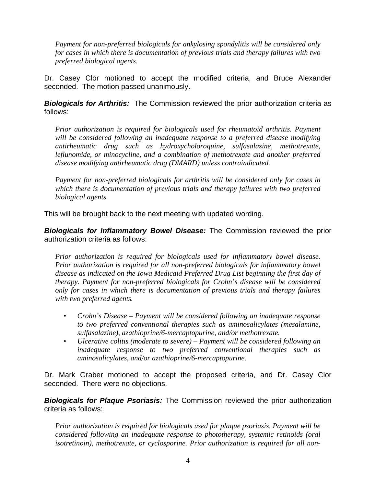*Payment for non-preferred biologicals for ankylosing spondylitis will be considered only for cases in which there is documentation of previous trials and therapy failures with two preferred biological agents.*

Dr. Casey Clor motioned to accept the modified criteria, and Bruce Alexander seconded. The motion passed unanimously.

**Biologicals for Arthritis:** The Commission reviewed the prior authorization criteria as follows:

*Prior authorization is required for biologicals used for rheumatoid arthritis. Payment will be considered following an inadequate response to a preferred disease modifying antirheumatic drug such as hydroxycholoroquine, sulfasalazine, methotrexate, leflunomide, or minocycline, and a combination of methotrexate and another preferred disease modifying antirheumatic drug (DMARD) unless contraindicated.* 

*Payment for non-preferred biologicals for arthritis will be considered only for cases in which there is documentation of previous trials and therapy failures with two preferred biological agents.* 

This will be brought back to the next meeting with updated wording.

*Biologicals for Inflammatory Bowel Disease:* The Commission reviewed the prior authorization criteria as follows:

*Prior authorization is required for biologicals used for inflammatory bowel disease. Prior authorization is required for all non-preferred biologicals for inflammatory bowel disease as indicated on the Iowa Medicaid Preferred Drug List beginning the first day of therapy. Payment for non-preferred biologicals for Crohn's disease will be considered only for cases in which there is documentation of previous trials and therapy failures with two preferred agents.* 

- *Crohn's Disease Payment will be considered following an inadequate response to two preferred conventional therapies such as aminosalicylates (mesalamine, sulfasalazine), azathioprine/6-mercaptopurine, and/or methotrexate.*
- *Ulcerative colitis (moderate to severe) Payment will be considered following an inadequate response to two preferred conventional therapies such as aminosalicylates, and/or azathioprine/6-mercaptopurine.*

Dr. Mark Graber motioned to accept the proposed criteria, and Dr. Casey Clor seconded. There were no objections.

*Biologicals for Plaque Psoriasis:* The Commission reviewed the prior authorization criteria as follows:

*Prior authorization is required for biologicals used for plaque psoriasis. Payment will be considered following an inadequate response to phototherapy, systemic retinoids (oral isotretinoin), methotrexate, or cyclosporine. Prior authorization is required for all non-*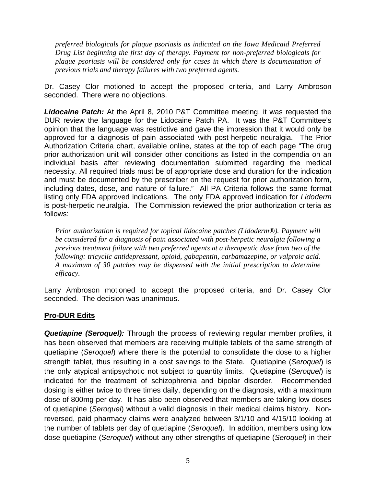*preferred biologicals for plaque psoriasis as indicated on the Iowa Medicaid Preferred Drug List beginning the first day of therapy. Payment for non-preferred biologicals for plaque psoriasis will be considered only for cases in which there is documentation of previous trials and therapy failures with two preferred agents.* 

Dr. Casey Clor motioned to accept the proposed criteria, and Larry Ambroson seconded. There were no objections.

*Lidocaine Patch:* At the April 8, 2010 P&T Committee meeting, it was requested the DUR review the language for the Lidocaine Patch PA. It was the P&T Committee's opinion that the language was restrictive and gave the impression that it would only be approved for a diagnosis of pain associated with post-herpetic neuralgia. The Prior Authorization Criteria chart, available online, states at the top of each page "The drug prior authorization unit will consider other conditions as listed in the compendia on an individual basis after reviewing documentation submitted regarding the medical necessity. All required trials must be of appropriate dose and duration for the indication and must be documented by the prescriber on the request for prior authorization form, including dates, dose, and nature of failure." All PA Criteria follows the same format listing only FDA approved indications. The only FDA approved indication for *Lidoderm* is post-herpetic neuralgia. The Commission reviewed the prior authorization criteria as follows:

*Prior authorization is required for topical lidocaine patches (Lidoderm®). Payment will be considered for a diagnosis of pain associated with post-herpetic neuralgia following a previous treatment failure with two preferred agents at a therapeutic dose from two of the following: tricyclic antidepressant, opioid, gabapentin, carbamazepine, or valproic acid. A maximum of 30 patches may be dispensed with the initial prescription to determine efficacy.* 

Larry Ambroson motioned to accept the proposed criteria, and Dr. Casey Clor seconded. The decision was unanimous.

# **Pro-DUR Edits**

*Quetiapine (Seroquel):* Through the process of reviewing regular member profiles, it has been observed that members are receiving multiple tablets of the same strength of quetiapine (*Seroquel*) where there is the potential to consolidate the dose to a higher strength tablet, thus resulting in a cost savings to the State. Quetiapine (*Seroquel*) is the only atypical antipsychotic not subject to quantity limits. Quetiapine (*Seroquel*) is indicated for the treatment of schizophrenia and bipolar disorder. Recommended dosing is either twice to three times daily, depending on the diagnosis, with a maximum dose of 800mg per day. It has also been observed that members are taking low doses of quetiapine (*Seroquel*) without a valid diagnosis in their medical claims history. Nonreversed, paid pharmacy claims were analyzed between 3/1/10 and 4/15/10 looking at the number of tablets per day of quetiapine (*Seroquel*). In addition, members using low dose quetiapine (*Seroquel*) without any other strengths of quetiapine (*Seroquel*) in their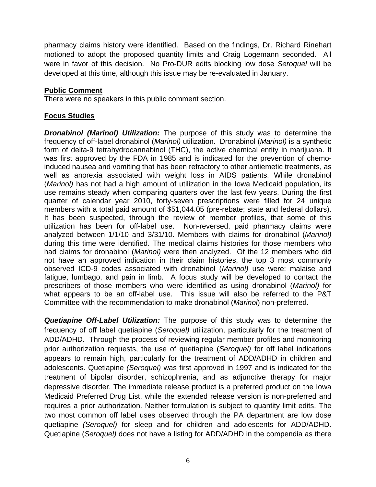pharmacy claims history were identified. Based on the findings, Dr. Richard Rinehart motioned to adopt the proposed quantity limits and Craig Logemann seconded. All were in favor of this decision. No Pro-DUR edits blocking low dose *Seroquel* will be developed at this time, although this issue may be re-evaluated in January.

## **Public Comment**

There were no speakers in this public comment section.

# **Focus Studies**

*Dronabinol (Marinol) Utilization:* The purpose of this study was to determine the frequency of off-label dronabinol (*Marinol)* utilization. Dronabinol (*Marinol)* is a synthetic form of delta-9 tetrahydrocannabinol (THC), the active chemical entity in marijuana. It was first approved by the FDA in 1985 and is indicated for the prevention of chemoinduced nausea and vomiting that has been refractory to other antiemetic treatments, as well as anorexia associated with weight loss in AIDS patients. While dronabinol (*Marinol)* has not had a high amount of utilization in the Iowa Medicaid population, its use remains steady when comparing quarters over the last few years. During the first quarter of calendar year 2010, forty-seven prescriptions were filled for 24 unique members with a total paid amount of \$51,044.05 (pre-rebate; state and federal dollars). It has been suspected, through the review of member profiles, that some of this utilization has been for off-label use. Non-reversed, paid pharmacy claims were analyzed between 1/1/10 and 3/31/10. Members with claims for dronabinol (*Marinol)*  during this time were identified. The medical claims histories for those members who had claims for dronabinol (*Marinol)* were then analyzed. Of the 12 members who did not have an approved indication in their claim histories, the top 3 most commonly observed ICD-9 codes associated with dronabinol (*Marinol)* use were: malaise and fatigue, lumbago, and pain in limb. A focus study will be developed to contact the prescribers of those members who were identified as using dronabinol (*Marinol)* for what appears to be an off-label use. This issue will also be referred to the P&T Committee with the recommendation to make dronabinol (*Marinol*) non-preferred.

*Quetiapine Off-Label Utilization:* The purpose of this study was to determine the frequency of off label quetiapine (*Seroquel)* utilization, particularly for the treatment of ADD/ADHD. Through the process of reviewing regular member profiles and monitoring prior authorization requests, the use of quetiapine (*Seroquel)* for off label indications appears to remain high, particularly for the treatment of ADD/ADHD in children and adolescents. Quetiapine *(Seroquel)* was first approved in 1997 and is indicated for the treatment of bipolar disorder, schizophrenia, and as adjunctive therapy for major depressive disorder. The immediate release product is a preferred product on the Iowa Medicaid Preferred Drug List, while the extended release version is non-preferred and requires a prior authorization. Neither formulation is subject to quantity limit edits. The two most common off label uses observed through the PA department are low dose quetiapine *(Seroquel)* for sleep and for children and adolescents for ADD/ADHD. Quetiapine (*Seroquel)* does not have a listing for ADD/ADHD in the compendia as there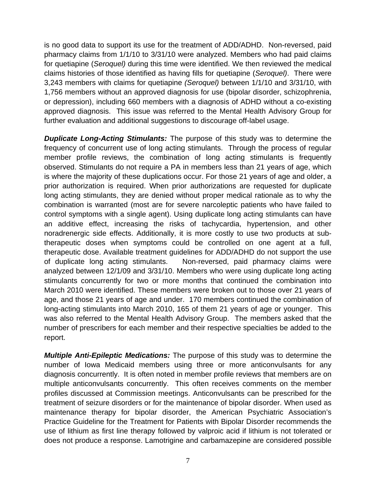is no good data to support its use for the treatment of ADD/ADHD. Non-reversed, paid pharmacy claims from 1/1/10 to 3/31/10 were analyzed. Members who had paid claims for quetiapine (*Seroquel)* during this time were identified. We then reviewed the medical claims histories of those identified as having fills for quetiapine (*Seroquel)*. There were 3,243 members with claims for quetiapine *(Seroquel)* between 1/1/10 and 3/31/10, with 1,756 members without an approved diagnosis for use (bipolar disorder, schizophrenia, or depression), including 660 members with a diagnosis of ADHD without a co-existing approved diagnosis. This issue was referred to the Mental Health Advisory Group for further evaluation and additional suggestions to discourage off-label usage.

*Duplicate Long-Acting Stimulants:* The purpose of this study was to determine the frequency of concurrent use of long acting stimulants. Through the process of regular member profile reviews, the combination of long acting stimulants is frequently observed. Stimulants do not require a PA in members less than 21 years of age, which is where the majority of these duplications occur. For those 21 years of age and older, a prior authorization is required. When prior authorizations are requested for duplicate long acting stimulants, they are denied without proper medical rationale as to why the combination is warranted (most are for severe narcoleptic patients who have failed to control symptoms with a single agent). Using duplicate long acting stimulants can have an additive effect, increasing the risks of tachycardia, hypertension, and other noradrenergic side effects. Additionally, it is more costly to use two products at subtherapeutic doses when symptoms could be controlled on one agent at a full, therapeutic dose. Available treatment guidelines for ADD/ADHD do not support the use of duplicate long acting stimulants. Non-reversed, paid pharmacy claims were analyzed between 12/1/09 and 3/31/10. Members who were using duplicate long acting stimulants concurrently for two or more months that continued the combination into March 2010 were identified. These members were broken out to those over 21 years of age, and those 21 years of age and under. 170 members continued the combination of long-acting stimulants into March 2010, 165 of them 21 years of age or younger. This was also referred to the Mental Health Advisory Group. The members asked that the number of prescribers for each member and their respective specialties be added to the report.

*Multiple Anti-Epileptic Medications:* The purpose of this study was to determine the number of Iowa Medicaid members using three or more anticonvulsants for any diagnosis concurrently. It is often noted in member profile reviews that members are on multiple anticonvulsants concurrently. This often receives comments on the member profiles discussed at Commission meetings. Anticonvulsants can be prescribed for the treatment of seizure disorders or for the maintenance of bipolar disorder. When used as maintenance therapy for bipolar disorder, the American Psychiatric Association's Practice Guideline for the Treatment for Patients with Bipolar Disorder recommends the use of lithium as first line therapy followed by valproic acid if lithium is not tolerated or does not produce a response. Lamotrigine and carbamazepine are considered possible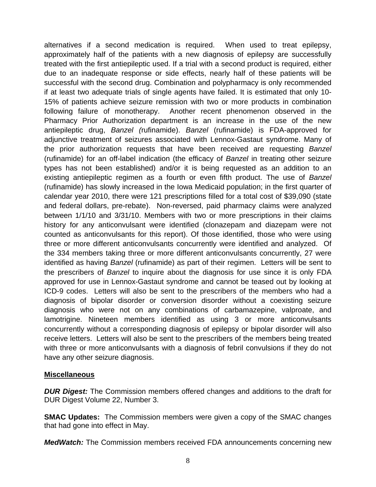alternatives if a second medication is required. When used to treat epilepsy, approximately half of the patients with a new diagnosis of epilepsy are successfully treated with the first antiepileptic used. If a trial with a second product is required, either due to an inadequate response or side effects, nearly half of these patients will be successful with the second drug. Combination and polypharmacy is only recommended if at least two adequate trials of single agents have failed. It is estimated that only 10- 15% of patients achieve seizure remission with two or more products in combination following failure of monotherapy. Another recent phenomenon observed in the Pharmacy Prior Authorization department is an increase in the use of the new antiepileptic drug, *Banzel (*rufinamide). *Banzel* (rufinamide) is FDA-approved for adjunctive treatment of seizures associated with Lennox-Gastaut syndrome. Many of the prior authorization requests that have been received are requesting *Banzel*  (rufinamide) for an off-label indication (the efficacy of *Banzel* in treating other seizure types has not been established) and/or it is being requested as an addition to an existing antiepileptic regimen as a fourth or even fifth product. The use of *Banzel*  (rufinamide) has slowly increased in the Iowa Medicaid population; in the first quarter of calendar year 2010, there were 121 prescriptions filled for a total cost of \$39,090 (state and federal dollars, pre-rebate). Non-reversed, paid pharmacy claims were analyzed between 1/1/10 and 3/31/10. Members with two or more prescriptions in their claims history for any anticonvulsant were identified (clonazepam and diazepam were not counted as anticonvulsants for this report). Of those identified, those who were using three or more different anticonvulsants concurrently were identified and analyzed. Of the 334 members taking three or more different anticonvulsants concurrently, 27 were identified as having *Banzel* (rufinamide) as part of their regimen. Letters will be sent to the prescribers of *Banzel* to inquire about the diagnosis for use since it is only FDA approved for use in Lennox-Gastaut syndrome and cannot be teased out by looking at ICD-9 codes. Letters will also be sent to the prescribers of the members who had a diagnosis of bipolar disorder or conversion disorder without a coexisting seizure diagnosis who were not on any combinations of carbamazepine, valproate, and lamotrigine. Nineteen members identified as using 3 or more anticonvulsants concurrently without a corresponding diagnosis of epilepsy or bipolar disorder will also receive letters. Letters will also be sent to the prescribers of the members being treated with three or more anticonvulsants with a diagnosis of febril convulsions if they do not have any other seizure diagnosis.

#### **Miscellaneous**

*DUR Digest:* The Commission members offered changes and additions to the draft for DUR Digest Volume 22, Number 3.

**SMAC Updates:** The Commission members were given a copy of the SMAC changes that had gone into effect in May.

*MedWatch:* The Commission members received FDA announcements concerning new